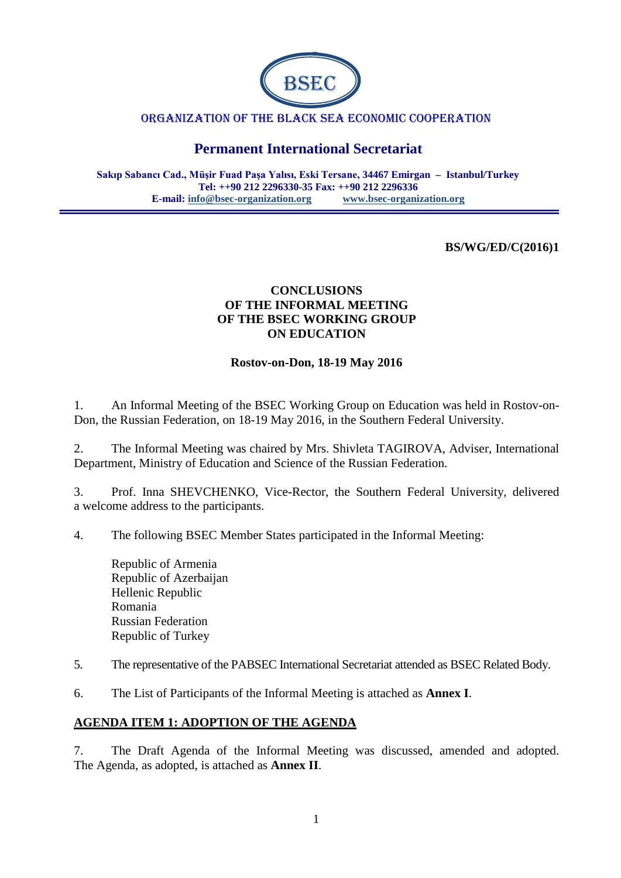

#### ORGANIZATION OF THE BLACK SEA ECONOMIC COOPERATION

# **Permanent International Secretariat**

**Sakıp Sabancı Cad., Müşir Fuad Paşa Yalısı, Eski Tersane, 34467 Emirgan – Istanbul/Turkey Tel: ++90 212 2296330-35 Fax: ++90 212 2296336 E-mail: [info@bsec-organization.org](mailto:info@bsec-organization.org) [www.bsec-organization.org](http://www.bsec-organization.org/)**

#### **BS/WG/ED/C(2016)1**

### **CONCLUSIONS OF THE INFORMAL MEETING OF THE BSEC WORKING GROUP ON EDUCATION**

#### **Rostov-on-Don, 18-19 May 2016**

1. An Informal Meeting of the BSEC Working Group on Education was held in Rostov-on-Don, the Russian Federation, on 18-19 May 2016, in the Southern Federal University.

2. The Informal Meeting was chaired by Mrs. Shivleta TAGIROVA, Adviser, International Department, Ministry of Education and Science of the Russian Federation.

3. Prof. Inna SHEVCHENKO, Vice-Rector, the Southern Federal University, delivered a welcome address to the participants.

4. The following BSEC Member States participated in the Informal Meeting:

Republic of Armenia Republic of Azerbaijan Hellenic Republic Romania Russian Federation Republic of Turkey

5. The representative of the PABSEC International Secretariat attended as BSEC Related Body.

6. The List of Participants of the Informal Meeting is attached as **Annex I**.

#### **AGENDA ITEM 1: ADOPTION OF THE AGENDA**

7. The Draft Agenda of the Informal Meeting was discussed, amended and adopted. The Agenda, as adopted, is attached as **Annex II**.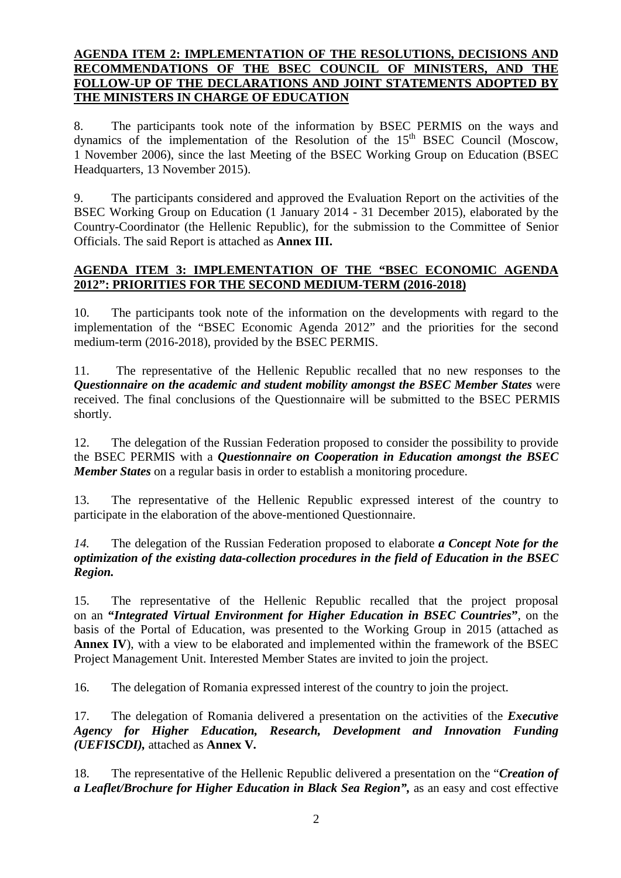#### **AGENDA ITEM 2: IMPLEMENTATION OF THE RESOLUTIONS, DECISIONS AND RECOMMENDATIONS OF THE BSEC COUNCIL OF MINISTERS, AND THE FOLLOW-UP OF THE DECLARATIONS AND JOINT STATEMENTS ADOPTED BY THE MINISTERS IN CHARGE OF EDUCATION**

8. The participants took note of the information by BSEC PERMIS on the ways and dynamics of the implementation of the Resolution of the 15<sup>th</sup> BSEC Council (Moscow, 1 November 2006), since the last Meeting of the BSEC Working Group on Education (BSEC Headquarters, 13 November 2015).

9. The participants considered and approved the Evaluation Report on the activities of the BSEC Working Group on Education (1 January 2014 - 31 December 2015), elaborated by the Country-Coordinator (the Hellenic Republic), for the submission to the Committee of Senior Officials. The said Report is attached as **Annex III.**

### **AGENDA ITEM 3: IMPLEMENTATION OF THE "BSEC ECONOMIC AGENDA 2012": PRIORITIES FOR THE SECOND MEDIUM-TERM (2016-2018)**

10. The participants took note of the information on the developments with regard to the implementation of the "BSEC Economic Agenda 2012" and the priorities for the second medium-term (2016-2018), provided by the BSEC PERMIS.

11. The representative of the Hellenic Republic recalled that no new responses to the *Questionnaire on the academic and student mobility amongst the BSEC Member States* were received. The final conclusions of the Questionnaire will be submitted to the BSEC PERMIS shortly.

12. The delegation of the Russian Federation proposed to consider the possibility to provide the BSEC PERMIS with a *Questionnaire on Cooperation in Education amongst the BSEC Member States* on a regular basis in order to establish a monitoring procedure.

13. The representative of the Hellenic Republic expressed interest of the country to participate in the elaboration of the above-mentioned Questionnaire.

*14.* The delegation of the Russian Federation proposed to elaborate *a Concept Note for the optimization of the existing data-collection procedures in the field of Education in the BSEC Region.* 

15. The representative of the Hellenic Republic recalled that the project proposal on an **"***Integrated Virtual Environment for Higher Education in BSEC Countries***"**, on the basis of the Portal of Education, was presented to the Working Group in 2015 (attached as **Annex IV**), with a view to be elaborated and implemented within the framework of the BSEC Project Management Unit. Interested Member States are invited to join the project.

16. The delegation of Romania expressed interest of the country to join the project.

17. The delegation of Romania delivered a presentation on the activities of the *Executive Agency for Higher Education, Research, Development and Innovation Funding (UEFISCDI),* attached as **Annex V***.*

18. The representative of the Hellenic Republic delivered a presentation on the "*Creation of a Leaflet/Brochure for Higher Education in Black Sea Region",* as an easy and cost effective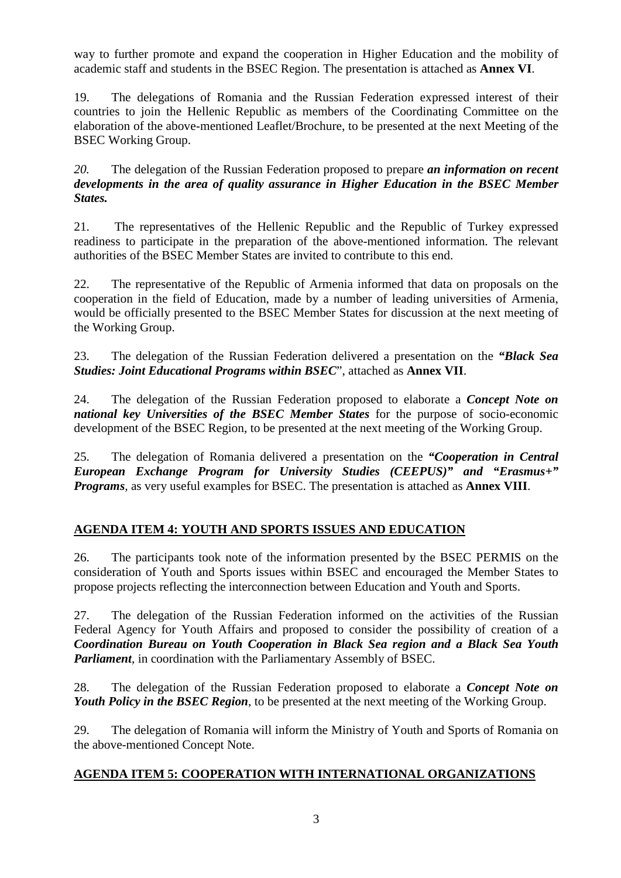way to further promote and expand the cooperation in Higher Education and the mobility of academic staff and students in the BSEC Region. The presentation is attached as **Annex VI**.

19. The delegations of Romania and the Russian Federation expressed interest of their countries to join the Hellenic Republic as members of the Coordinating Committee on the elaboration of the above-mentioned Leaflet/Brochure, to be presented at the next Meeting of the BSEC Working Group.

*20.* The delegation of the Russian Federation proposed to prepare *an information on recent developments in the area of quality assurance in Higher Education in the BSEC Member States.* 

21. The representatives of the Hellenic Republic and the Republic of Turkey expressed readiness to participate in the preparation of the above-mentioned information. The relevant authorities of the BSEC Member States are invited to contribute to this end.

22. The representative of the Republic of Armenia informed that data on proposals on the cooperation in the field of Education, made by a number of leading universities of Armenia, would be officially presented to the BSEC Member States for discussion at the next meeting of the Working Group.

23. The delegation of the Russian Federation delivered a presentation on the *"Black Sea Studies: Joint Educational Programs within BSEC*", attached as **Annex VII**.

24. The delegation of the Russian Federation proposed to elaborate a *Concept Note on national key Universities of the BSEC Member States* for the purpose of socio-economic development of the BSEC Region, to be presented at the next meeting of the Working Group.

25. The delegation of Romania delivered a presentation on the *"Cooperation in Central European Exchange Program for University Studies (CEEPUS)" and "Erasmus+" Programs,* as very useful examples for BSEC. The presentation is attached as **Annex VIII**.

# **AGENDA ITEM 4: YOUTH AND SPORTS ISSUES AND EDUCATION**

26. The participants took note of the information presented by the BSEC PERMIS on the consideration of Youth and Sports issues within BSEC and encouraged the Member States to propose projects reflecting the interconnection between Education and Youth and Sports.

27. The delegation of the Russian Federation informed on the activities of the Russian Federal Agency for Youth Affairs and proposed to consider the possibility of creation of a *Coordination Bureau on Youth Cooperation in Black Sea region and a Black Sea Youth Parliament*, in coordination with the Parliamentary Assembly of BSEC.

28. The delegation of the Russian Federation proposed to elaborate a *Concept Note on Youth Policy in the BSEC Region*, to be presented at the next meeting of the Working Group.

29. The delegation of Romania will inform the Ministry of Youth and Sports of Romania on the above-mentioned Concept Note.

### **AGENDA ITEM 5: COOPERATION WITH INTERNATIONAL ORGANIZATIONS**